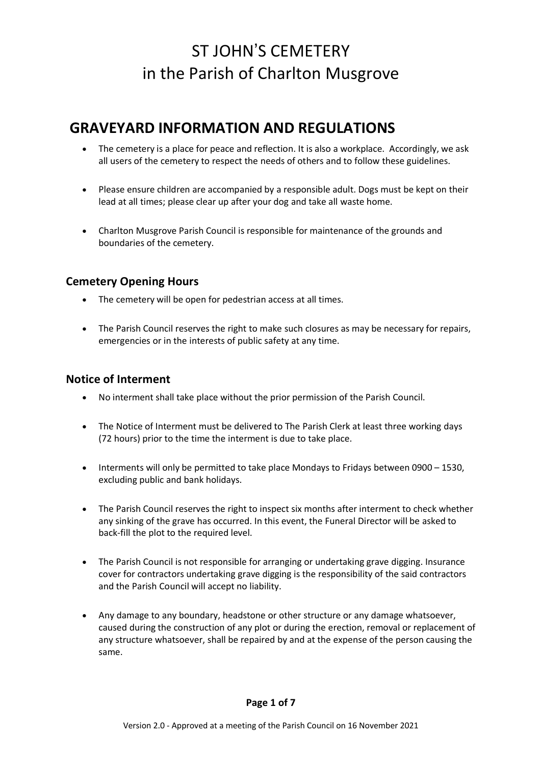## **GRAVEYARD INFORMATION AND REGULATIONS**

- The cemetery is a place for peace and reflection. It is also a workplace. Accordingly, we ask all users of the cemetery to respect the needs of others and to follow these guidelines.
- Please ensure children are accompanied by a responsible adult. Dogs must be kept on their lead at all times; please clear up after your dog and take all waste home.
- Charlton Musgrove Parish Council is responsible for maintenance of the grounds and boundaries of the cemetery.

### **Cemetery Opening Hours**

- The cemetery will be open for pedestrian access at all times.
- The Parish Council reserves the right to make such closures as may be necessary for repairs, emergencies or in the interests of public safety at any time.

### **Notice of Interment**

- No interment shall take place without the prior permission of the Parish Council.
- The Notice of Interment must be delivered to The Parish Clerk at least three working days (72 hours) prior to the time the interment is due to take place.
- Interments will only be permitted to take place Mondays to Fridays between 0900 1530, excluding public and bank holidays.
- The Parish Council reserves the right to inspect six months after interment to check whether any sinking of the grave has occurred. In this event, the Funeral Director will be asked to back-fill the plot to the required level.
- The Parish Council is not responsible for arranging or undertaking grave digging. Insurance cover for contractors undertaking grave digging is the responsibility of the said contractors and the Parish Council will accept no liability.
- Any damage to any boundary, headstone or other structure or any damage whatsoever, caused during the construction of any plot or during the erection, removal or replacement of any structure whatsoever, shall be repaired by and at the expense of the person causing the same.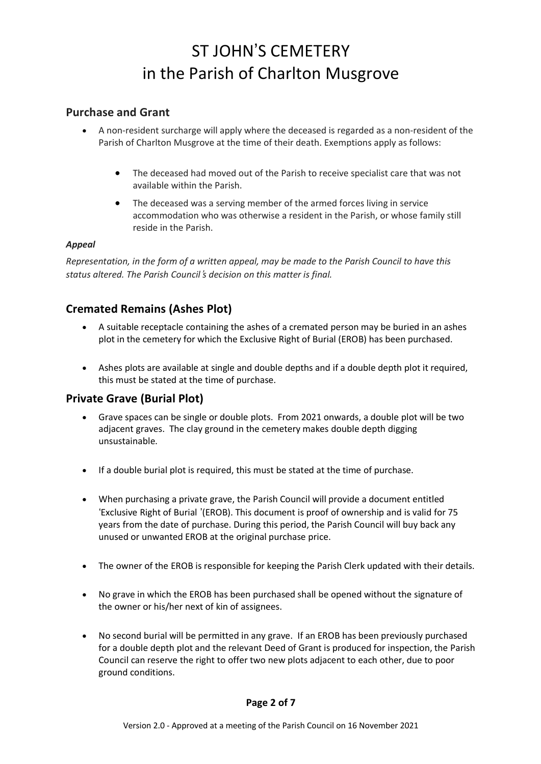### **Purchase and Grant**

- A non-resident surcharge will apply where the deceased is regarded as a non-resident of the Parish of Charlton Musgrove at the time of their death. Exemptions apply as follows:
	- The deceased had moved out of the Parish to receive specialist care that was not available within the Parish.
	- The deceased was a serving member of the armed forces living in service accommodation who was otherwise a resident in the Parish, or whose family still reside in the Parish.

#### *Appeal*

*Representation, in the form of a written appeal, may be made to the Parish Council to have this status altered. The Parish Council*!*s decision on this matter is final.*

## **Cremated Remains (Ashes Plot)**

- A suitable receptacle containing the ashes of a cremated person may be buried in an ashes plot in the cemetery for which the Exclusive Right of Burial (EROB) has been purchased.
- Ashes plots are available at single and double depths and if a double depth plot it required, this must be stated at the time of purchase.

### **Private Grave (Burial Plot)**

- Grave spaces can be single or double plots. From 2021 onwards, a double plot will be two adjacent graves. The clay ground in the cemetery makes double depth digging unsustainable.
- If a double burial plot is required, this must be stated at the time of purchase.
- When purchasing a private grave, the Parish Council will provide a document entitled 'Exclusive Right of Burial '(EROB). This document is proof of ownership and is valid for 75 years from the date of purchase. During this period, the Parish Council will buy back any unused or unwanted EROB at the original purchase price.
- The owner of the EROB is responsible for keeping the Parish Clerk updated with their details.
- No grave in which the EROB has been purchased shall be opened without the signature of the owner or his/her next of kin of assignees.
- No second burial will be permitted in any grave. If an EROB has been previously purchased for a double depth plot and the relevant Deed of Grant is produced for inspection, the Parish Council can reserve the right to offer two new plots adjacent to each other, due to poor ground conditions.

#### **Page 2 of 7**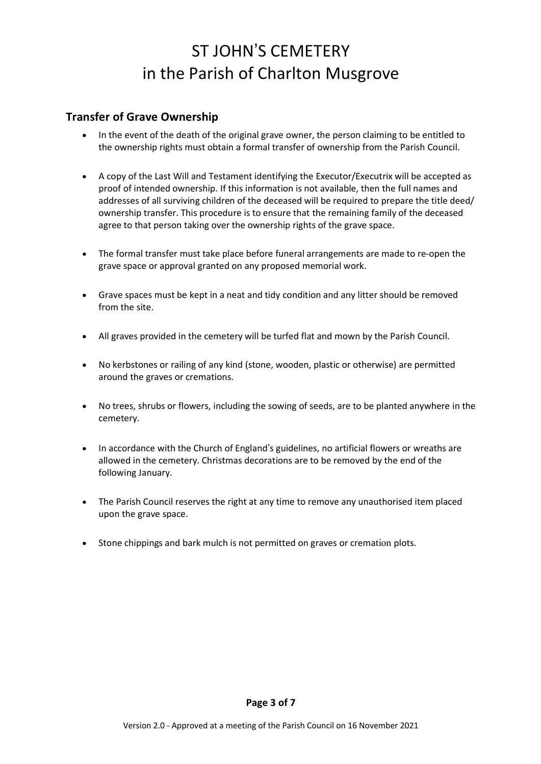### **Transfer of Grave Ownership**

- In the event of the death of the original grave owner, the person claiming to be entitled to the ownership rights must obtain a formal transfer of ownership from the Parish Council.
- A copy of the Last Will and Testament identifying the Executor/Executrix will be accepted as proof of intended ownership. If this information is not available, then the full names and addresses of all surviving children of the deceased will be required to prepare the title deed/ ownership transfer. This procedure is to ensure that the remaining family of the deceased agree to that person taking over the ownership rights of the grave space.
- The formal transfer must take place before funeral arrangements are made to re-open the grave space or approval granted on any proposed memorial work.
- Grave spaces must be kept in a neat and tidy condition and any litter should be removed from the site.
- All graves provided in the cemetery will be turfed flat and mown by the Parish Council.
- No kerbstones or railing of any kind (stone, wooden, plastic or otherwise) are permitted around the graves or cremations.
- No trees, shrubs or flowers, including the sowing of seeds, are to be planted anywhere in the cemetery.
- In accordance with the Church of England's guidelines, no artificial flowers or wreaths are allowed in the cemetery. Christmas decorations are to be removed by the end of the following January.
- The Parish Council reserves the right at any time to remove any unauthorised item placed upon the grave space.
- Stone chippings and bark mulch is not permitted on graves or cremation plots.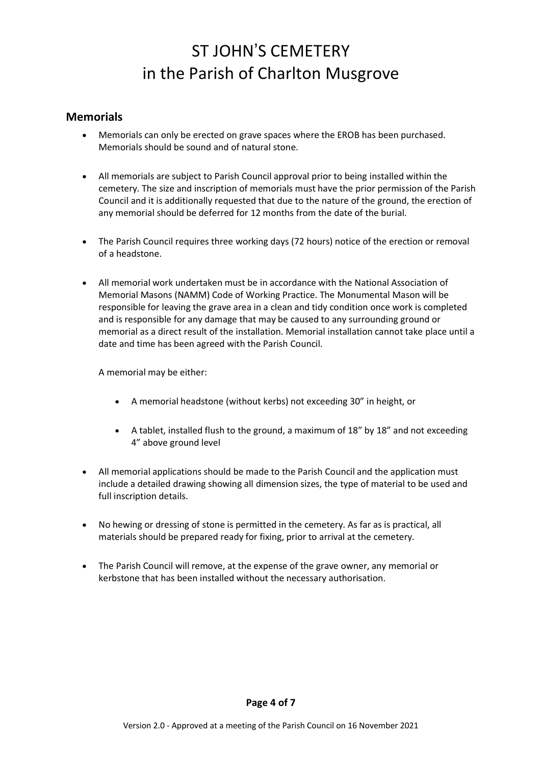### **Memorials**

- Memorials can only be erected on grave spaces where the EROB has been purchased. Memorials should be sound and of natural stone.
- All memorials are subject to Parish Council approval prior to being installed within the cemetery. The size and inscription of memorials must have the prior permission of the Parish Council and it is additionally requested that due to the nature of the ground, the erection of any memorial should be deferred for 12 months from the date of the burial.
- The Parish Council requires three working days (72 hours) notice of the erection or removal of a headstone.
- All memorial work undertaken must be in accordance with the National Association of Memorial Masons (NAMM) Code of Working Practice. The Monumental Mason will be responsible for leaving the grave area in a clean and tidy condition once work is completed and is responsible for any damage that may be caused to any surrounding ground or memorial as a direct result of the installation. Memorial installation cannot take place until a date and time has been agreed with the Parish Council.

A memorial may be either:

- A memorial headstone (without kerbs) not exceeding 30" in height, or
- A tablet, installed flush to the ground, a maximum of 18" by 18" and not exceeding 4" above ground level
- All memorial applications should be made to the Parish Council and the application must include a detailed drawing showing all dimension sizes, the type of material to be used and full inscription details.
- No hewing or dressing of stone is permitted in the cemetery. As far as is practical, all materials should be prepared ready for fixing, prior to arrival at the cemetery.
- The Parish Council will remove, at the expense of the grave owner, any memorial or kerbstone that has been installed without the necessary authorisation.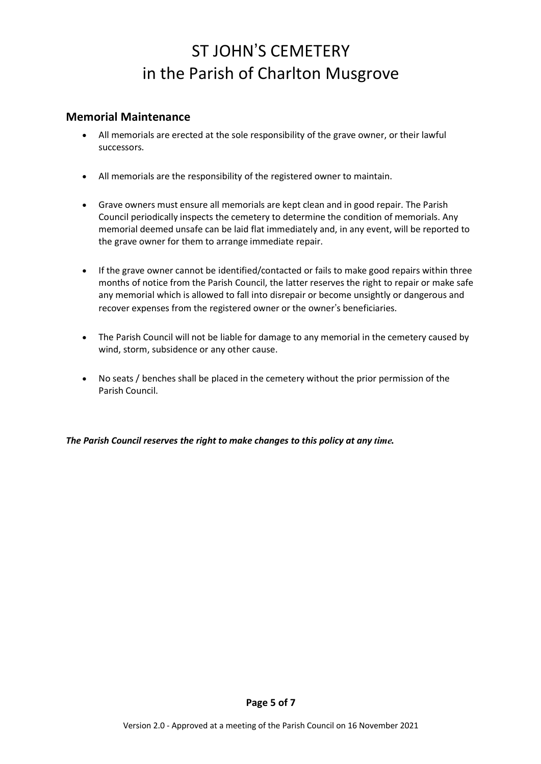### **Memorial Maintenance**

- All memorials are erected at the sole responsibility of the grave owner, or their lawful successors.
- All memorials are the responsibility of the registered owner to maintain.
- Grave owners must ensure all memorials are kept clean and in good repair. The Parish Council periodically inspects the cemetery to determine the condition of memorials. Any memorial deemed unsafe can be laid flat immediately and, in any event, will be reported to the grave owner for them to arrange immediate repair.
- If the grave owner cannot be identified/contacted or fails to make good repairs within three months of notice from the Parish Council, the latter reserves the right to repair or make safe any memorial which is allowed to fall into disrepair or become unsightly or dangerous and recover expenses from the registered owner or the owner's beneficiaries.
- The Parish Council will not be liable for damage to any memorial in the cemetery caused by wind, storm, subsidence or any other cause.
- No seats / benches shall be placed in the cemetery without the prior permission of the Parish Council.

*The Parish Council reserves the right to make changes to this policy at any time.*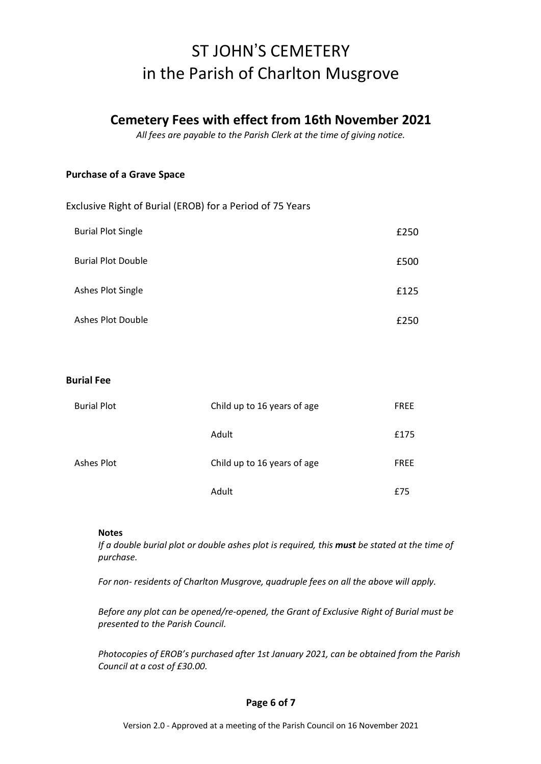## **Cemetery Fees with effect from 16th November 2021**

*All fees are payable to the Parish Clerk at the time of giving notice.*

#### **Purchase of a Grave Space**

Exclusive Right of Burial (EROB) for a Period of 75 Years

| <b>Burial Plot Single</b> | £250 |
|---------------------------|------|
| <b>Burial Plot Double</b> | £500 |
| Ashes Plot Single         | £125 |
| Ashes Plot Double         | £250 |

#### **Burial Fee**

| <b>Burial Plot</b> | Child up to 16 years of age | <b>FREE</b> |
|--------------------|-----------------------------|-------------|
|                    | Adult                       | £175        |
| Ashes Plot         | Child up to 16 years of age | <b>FREE</b> |
|                    | Adult                       | f75         |

#### **Notes**

If a double burial plot or double ashes plot is required, this must be stated at the time of *purchase.*

*For non- residents of Charlton Musgrove, quadruple fees on all the above will apply.*

*Before any plot can be opened/re-opened, the Grant of Exclusive Right of Burial must be presented to the Parish Council.*

*Photocopies of EROB's purchased after 1st January 2021, can be obtained from the Parish Council at a cost of £30.00.*

#### **Page 6 of 7**